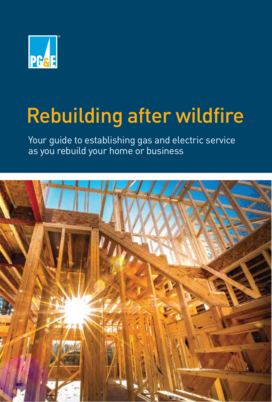

## Rebuilding after wildfire

Your guide to establishing gas and electric service as you rebuild your home or business

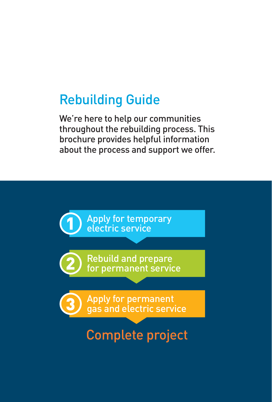## Rebuilding Guide

We're here to help our communities throughout the rebuilding process. This brochure provides helpful information about the process and support we offer.

3) Apply for permanent<br>3) gas and electric service **Rebuild and prepare** for permanent service **1** Apply for temporary<br>electric service Complete project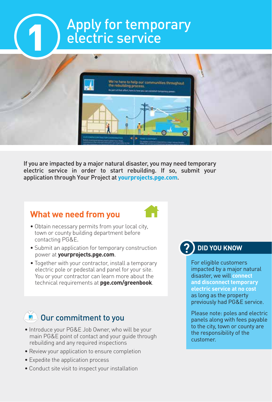# Apply for temporary<br>electric service



If you are impacted by a major natural disaster, you may need temporary electric service in order to start rebuilding. If so, submit your application through Your Project at **[yourprojects.pge.com](https://yourprojects.pge.com)**.

### **What we need from you**



- Obtain necessary permits from your local city, town or county building department before contacting PG&E.
- Submit an application for temporary construction power at **[yourprojects.pge.com](https://yourprojects.pge.com)**.
- Together with your contractor, install a temporary electric pole or pedestal and panel for your site. You or your contractor can learn more about the technical requirements at **[pge.com/greenbook](https://www.pge.com/greenbook)**.

## Our commitment to you

- Introduce your PG&E Job Owner, who will be your main PG&E point of contact and your guide through rebuilding and any required inspections
- Review your application to ensure completion
- Expedite the application process
- Conduct site visit to inspect your installation

#### **? DID YOU KNOW**

For eligible customers impacted by a major natural disaster, we will **connect and disconnect temporary electric service at no cost**  as long as the property previously had PG&E service.

Please note: poles and electric panels along with fees payable to the city, town or county are the responsibility of the customer.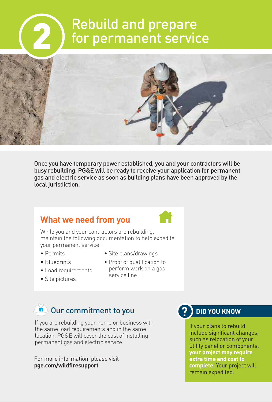# Rebuild and prepare<br>for permanent service



Once you have temporary power established, you and your contractors will be busy rebuilding. PG&E will be ready to receive your application for permanent gas and electric service as soon as building plans have been approved by the local jurisdiction.

### **What we need from you**



While you and your contractors are rebuilding, maintain the following documentation to help expedite your permanent service:

- Permits
- Site plans/drawings
- Blueprints
- Load requirements
- Proof of qualification to perform work on a gas service line
- Site pictures

## Our commitment to you

If you are rebuilding your home or business with the same load requirements and in the same location, PG&E will cover the cost of installing permanent gas and electric service.

For more information, please visit **[pge.com/wildfiresupport](https://www.pge.com/wildfiresupport)**.

#### **? DID YOU KNOW**

If your plans to rebuild include significant changes, such as relocation of your utility panel or components, **your project may require extra time and cost to complete.** Your project will remain expedited.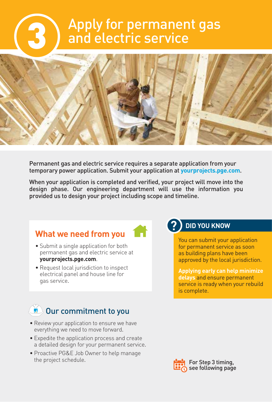## Apply for permanent gas<br>and electric service



Permanent gas and electric service requires a separate application from your temporary power application. Submit your application at **[yourprojects.pge.com](https://yourprojects.pge.com)**.

When your application is completed and verified, your project will move into the design phase. Our engineering department will use the information you provided us to design your project including scope and timeline.

### **What we need from you**

- Submit a single application for both permanent gas and electric service at **[yourprojects.pge.com](https://yourprojects.pge.com)**.
- Request local jurisdiction to inspect electrical panel and house line for gas service.

#### **? DID YOU KNOW**

You can submit your application for permanent service as soon as building plans have been approved by the local jurisdiction.

**Applying early can help minimize delays** and ensure permanent service is ready when your rebuild is complete.

## Our commitment to you

- Review your application to ensure we have everything we need to move forward.
- Expedite the application process and create a detailed design for your permanent service.
- Proactive PG&E Job Owner to help manage the project schedule.